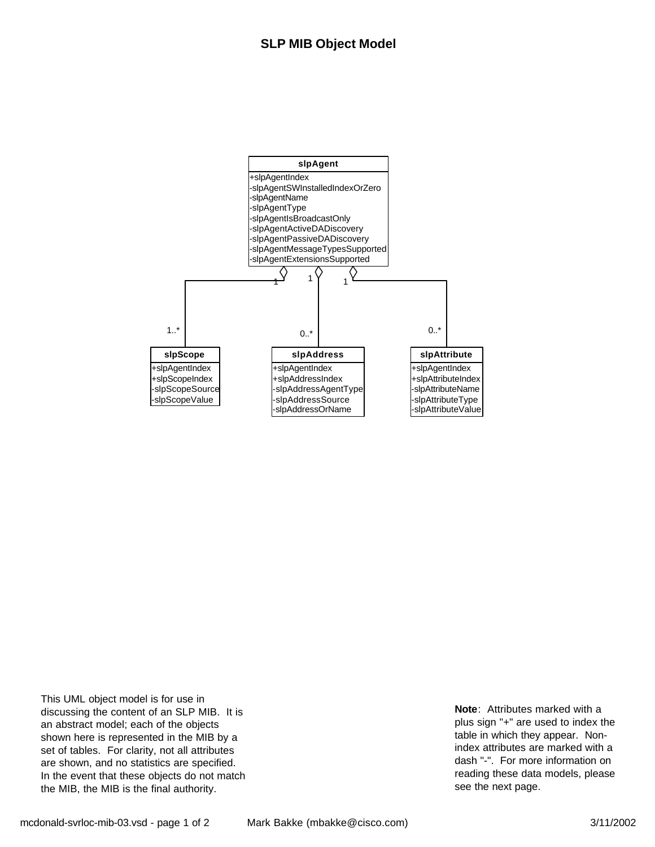

This UML object model is for use in discussing the content of an SLP MIB. It is an abstract model; each of the objects shown here is represented in the MIB by a set of tables. For clarity, not all attributes are shown, and no statistics are specified. In the event that these objects do not match the MIB, the MIB is the final authority.

**Note**: Attributes marked with a plus sign "+" are used to index the table in which they appear. Nonindex attributes are marked with a dash "-". For more information on reading these data models, please see the next page.